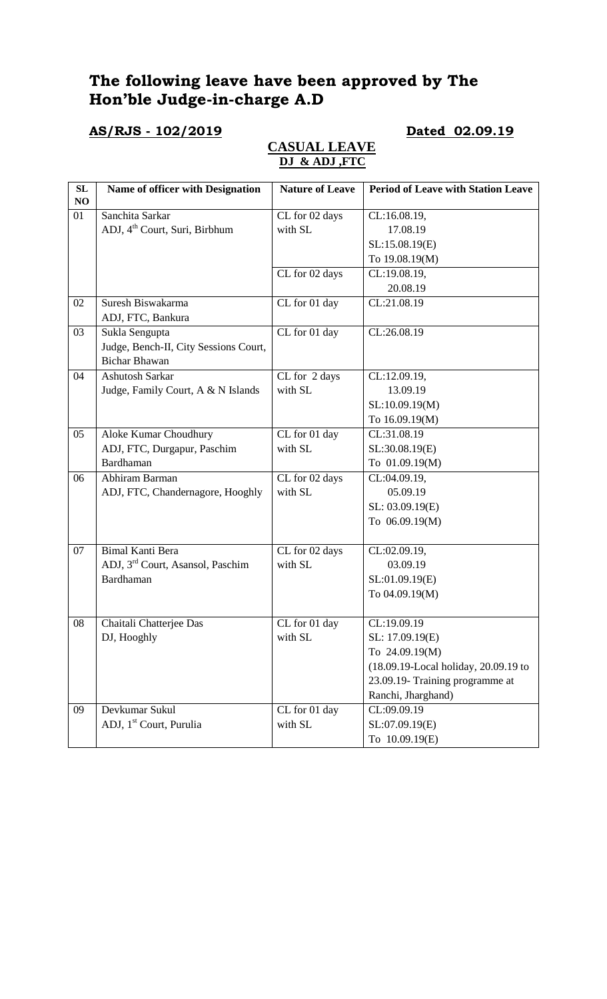# **The following leave have been approved by The Hon'ble Judge-in-charge A.D**

# **AS/RJS - 102/2019 Dated 02.09.19**

### **CASUAL LEAVE DJ & ADJ ,FTC**

| SL | <b>Name of officer with Designation</b>      | <b>Nature of Leave</b> | <b>Period of Leave with Station Leave</b> |
|----|----------------------------------------------|------------------------|-------------------------------------------|
| NO |                                              |                        |                                           |
| 01 | Sanchita Sarkar                              | CL for 02 days         | CL:16.08.19,                              |
|    | ADJ, 4 <sup>th</sup> Court, Suri, Birbhum    | with SL                | 17.08.19                                  |
|    |                                              |                        | SL:15.08.19(E)                            |
|    |                                              |                        | To 19.08.19(M)                            |
|    |                                              | CL for 02 days         | CL:19.08.19,                              |
|    |                                              |                        | 20.08.19                                  |
| 02 | Suresh Biswakarma                            | CL for 01 day          | CL:21.08.19                               |
|    | ADJ, FTC, Bankura                            |                        |                                           |
| 03 | Sukla Sengupta                               | CL for 01 day          | CL:26.08.19                               |
|    | Judge, Bench-II, City Sessions Court,        |                        |                                           |
|    | <b>Bichar Bhawan</b>                         |                        |                                           |
| 04 | <b>Ashutosh Sarkar</b>                       | CL for 2 days          | CL:12.09.19,                              |
|    | Judge, Family Court, A & N Islands           | with SL                | 13.09.19                                  |
|    |                                              |                        | SL:10.09.19(M)                            |
|    |                                              |                        | To 16.09.19(M)                            |
| 05 | Aloke Kumar Choudhury                        | CL for 01 day          | CL:31.08.19                               |
|    | ADJ, FTC, Durgapur, Paschim                  | with SL                | SL:30.08.19(E)                            |
|    | <b>Bardhaman</b>                             |                        | To 01.09.19(M)                            |
| 06 | Abhiram Barman                               | CL for 02 days         | CL:04.09.19,                              |
|    | ADJ, FTC, Chandernagore, Hooghly             | with SL                | 05.09.19                                  |
|    |                                              |                        | SL: 03.09.19(E)                           |
|    |                                              |                        | To 06.09.19(M)                            |
|    |                                              |                        |                                           |
| 07 | <b>Bimal Kanti Bera</b>                      | CL for 02 days         | CL:02.09.19,                              |
|    | ADJ, 3 <sup>rd</sup> Court, Asansol, Paschim | with SL                | 03.09.19                                  |
|    | <b>Bardhaman</b>                             |                        | SL:01.09.19(E)                            |
|    |                                              |                        | To 04.09.19(M)                            |
|    |                                              |                        |                                           |
| 08 | Chaitali Chatterjee Das                      | CL for 01 day          | CL:19.09.19                               |
|    | DJ, Hooghly                                  | with SL                | SL: 17.09.19(E)                           |
|    |                                              |                        | To 24.09.19(M)                            |
|    |                                              |                        | (18.09.19-Local holiday, 20.09.19 to      |
|    |                                              |                        | 23.09.19- Training programme at           |
|    |                                              |                        | Ranchi, Jharghand)                        |
| 09 | Devkumar Sukul                               | CL for 01 day          | CL:09.09.19                               |
|    | ADJ, 1 <sup>st</sup> Court, Purulia          | with SL                | SL:07.09.19(E)                            |
|    |                                              |                        | To 10.09.19(E)                            |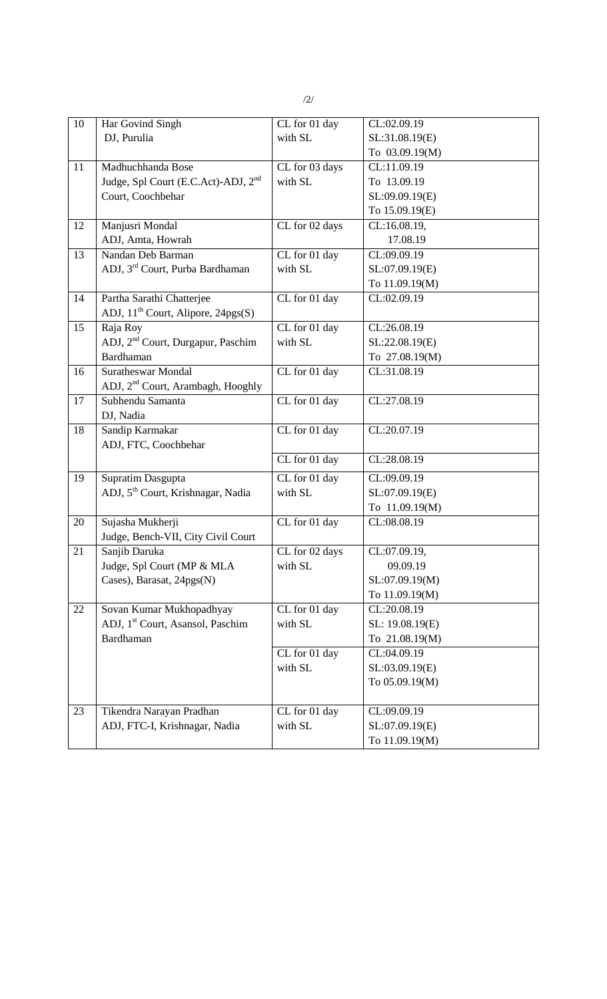| 10              | Har Govind Singh                                | CL for 01 day  | CL:02.09.19              |
|-----------------|-------------------------------------------------|----------------|--------------------------|
|                 | DJ, Purulia                                     | with SL        | SL:31.08.19(E)           |
|                 |                                                 |                | To 03.09.19(M)           |
| 11              | Madhuchhanda Bose                               | CL for 03 days | CL:11.09.19              |
|                 | Judge, Spl Court (E.C.Act)-ADJ, 2 <sup>nd</sup> | with SL        | To 13.09.19              |
|                 | Court, Coochbehar                               |                | SL:09.09.19(E)           |
|                 |                                                 |                | To 15.09.19(E)           |
| 12              | Manjusri Mondal                                 | CL for 02 days | CL:16.08.19,             |
|                 | ADJ, Amta, Howrah                               |                | 17.08.19                 |
| $\overline{13}$ | Nandan Deb Barman                               | CL for 01 day  | CL:09.09.19              |
|                 | ADJ, 3 <sup>rd</sup> Court, Purba Bardhaman     | with SL        | SL:07.09.19(E)           |
|                 |                                                 |                | To 11.09.19(M)           |
| 14              | Partha Sarathi Chatterjee                       | CL for 01 day  | CL:02.09.19              |
|                 | ADJ, 11 <sup>th</sup> Court, Alipore, 24pgs(S)  |                |                          |
| 15              | Raja Roy                                        | CL for 01 day  | CL:26.08.19              |
|                 | ADJ, 2 <sup>nd</sup> Court, Durgapur, Paschim   | with SL        | SL:22.08.19(E)           |
|                 | <b>Bardhaman</b>                                |                | To 27.08.19(M)           |
| 16              | <b>Suratheswar Mondal</b>                       | CL for 01 day  | CL:31.08.19              |
|                 | ADJ, 2 <sup>nd</sup> Court, Arambagh, Hooghly   |                |                          |
| 17              | Subhendu Samanta                                | CL for 01 day  | CL:27.08.19              |
|                 | DJ, Nadia                                       |                |                          |
| 18              | Sandip Karmakar                                 | CL for 01 day  | CL:20.07.19              |
|                 | ADJ, FTC, Coochbehar                            |                |                          |
|                 |                                                 | CL for 01 day  | CL:28.08.19              |
| 19              | Supratim Dasgupta                               | CL for 01 day  | CL:09.09.19              |
|                 | ADJ, 5 <sup>th</sup> Court, Krishnagar, Nadia   | with SL        | SL:07.09.19(E)           |
|                 |                                                 |                | To 11.09.19(M)           |
| 20              | Sujasha Mukherji                                | CL for 01 day  | CL:08.08.19              |
|                 | Judge, Bench-VII, City Civil Court              |                |                          |
| 21              | Sanjib Daruka                                   | CL for 02 days | CL:07.09.19,             |
|                 | Judge, Spl Court (MP & MLA                      | with SL        | 09.09.19                 |
|                 | Cases), Barasat, 24pgs(N)                       |                | SL:07.09.19(M)           |
|                 |                                                 |                | To 11.09.19(M)           |
| 22              | Sovan Kumar Mukhopadhyay                        | CL for 01 day  | CL:20.08.19              |
|                 | ADJ, 1 <sup>st</sup> Court, Asansol, Paschim    | with SL        | SL: 19.08.19(E)          |
|                 | <b>Bardhaman</b>                                |                | To 21.08.19(M)           |
|                 |                                                 | CL for 01 day  | CL:04.09.19              |
|                 |                                                 | with SL        | SL:03.09.19(E)           |
|                 |                                                 |                | To 05.09.19(M)           |
|                 |                                                 |                |                          |
| 23              | Tikendra Narayan Pradhan                        | CL for 01 day  | $\overline{CL}:09.09.19$ |
|                 | ADJ, FTC-I, Krishnagar, Nadia                   | with SL        | SL:07.09.19(E)           |
|                 |                                                 |                | To 11.09.19(M)           |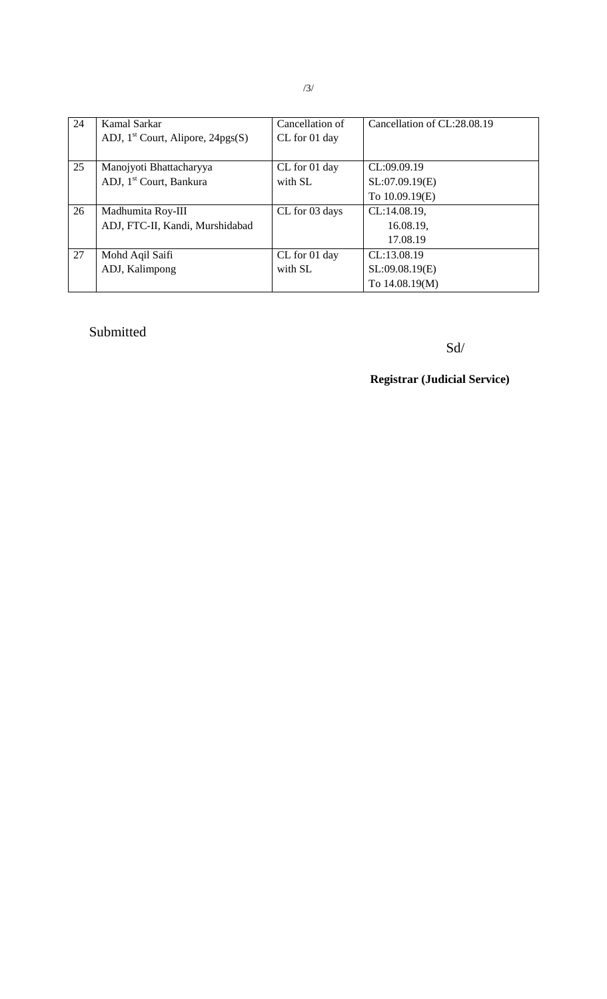| 24 | Kamal Sarkar                        | Cancellation of | Cancellation of CL:28.08.19 |
|----|-------------------------------------|-----------------|-----------------------------|
|    | ADJ, $1st$ Court, Alipore, 24pgs(S) | CL for 01 day   |                             |
|    |                                     |                 |                             |
| 25 | Manojyoti Bhattacharyya             | CL for 01 day   | CL:09.09.19                 |
|    | ADJ, 1 <sup>st</sup> Court, Bankura | with SL         | SL:07.09.19(E)              |
|    |                                     |                 | To 10.09.19(E)              |
| 26 | Madhumita Roy-III                   | CL for 03 days  | CL:14.08.19,                |
|    | ADJ, FTC-II, Kandi, Murshidabad     |                 | 16.08.19,                   |
|    |                                     |                 | 17.08.19                    |
| 27 | Mohd Aqil Saifi                     | CL for 01 day   | CL:13.08.19                 |
|    | ADJ, Kalimpong                      | with SL         | SL:09.08.19(E)              |
|    |                                     |                 | To 14.08.19(M)              |

## Submitted

Sd/

**Registrar (Judicial Service)**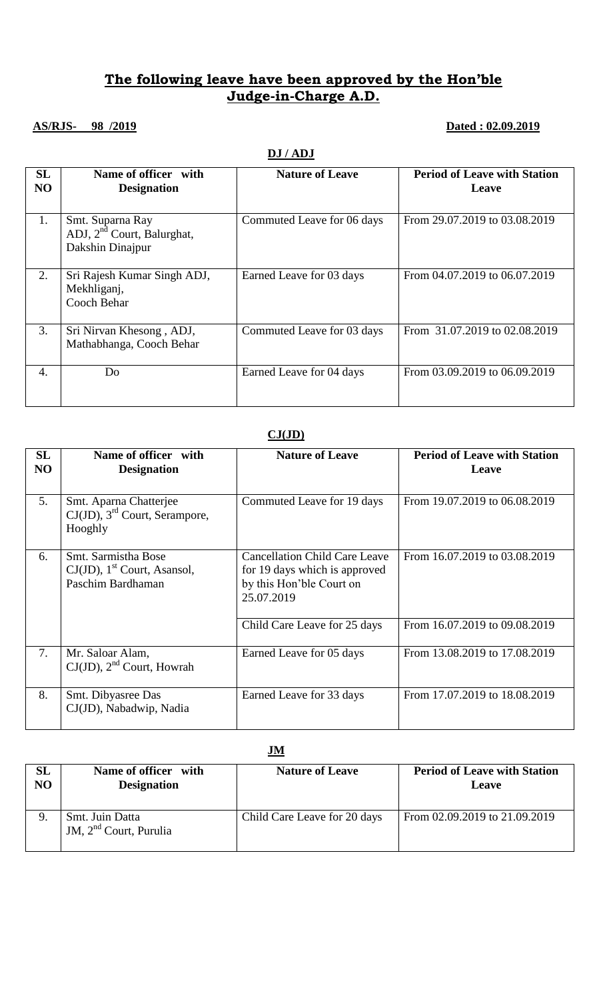### **The following leave have been approved by the Hon'ble Judge-in-Charge A.D.**

## **AS/RJS- 98 /2019 Dated : 02.09.2019**

#### **DJ / ADJ**

| <b>SL</b><br>NO  | Name of officer with<br><b>Designation</b>                           | <b>Nature of Leave</b>     | <b>Period of Leave with Station</b><br>Leave |
|------------------|----------------------------------------------------------------------|----------------------------|----------------------------------------------|
| 1.               | Smt. Suparna Ray<br>ADJ, $2nd$ Court, Balurghat,<br>Dakshin Dinajpur | Commuted Leave for 06 days | From 29.07.2019 to 03.08.2019                |
| $\overline{2}$ . | Sri Rajesh Kumar Singh ADJ,<br>Mekhliganj,<br>Cooch Behar            | Earned Leave for 03 days   | From 04.07.2019 to 06.07.2019                |
| 3.               | Sri Nirvan Khesong, ADJ,<br>Mathabhanga, Cooch Behar                 | Commuted Leave for 03 days | From 31.07.2019 to 02.08.2019                |
| 4.               | Do                                                                   | Earned Leave for 04 days   | From 03.09.2019 to 06.09.2019                |

#### **CJ(JD)**

| SL<br>N <sub>O</sub> | Name of officer with<br><b>Designation</b>                                             | <b>Nature of Leave</b>                                                                                          | <b>Period of Leave with Station</b><br>Leave |
|----------------------|----------------------------------------------------------------------------------------|-----------------------------------------------------------------------------------------------------------------|----------------------------------------------|
| 5.                   | Smt. Aparna Chatterjee<br>$CJ(JD)$ , 3 <sup>rd</sup> Court, Serampore,<br>Hooghly      | Commuted Leave for 19 days                                                                                      | From 19.07.2019 to 06.08.2019                |
| 6.                   | Smt. Sarmistha Bose<br>$CJ(JD)$ , 1 <sup>st</sup> Court, Asansol,<br>Paschim Bardhaman | <b>Cancellation Child Care Leave</b><br>for 19 days which is approved<br>by this Hon'ble Court on<br>25.07.2019 | From 16.07.2019 to 03.08.2019                |
|                      |                                                                                        | Child Care Leave for 25 days                                                                                    | From 16.07.2019 to 09.08.2019                |
| 7.                   | Mr. Saloar Alam,<br>$CJ(JD)$ , $2nd$ Court, Howrah                                     | Earned Leave for 05 days                                                                                        | From 13.08.2019 to 17.08.2019                |
| 8.                   | Smt. Dibyasree Das<br>CJ(JD), Nabadwip, Nadia                                          | Earned Leave for 33 days                                                                                        | From 17.07.2019 to 18.08.2019                |

**JM**

| SL             | Name of officer with                        | <b>Nature of Leave</b>       | <b>Period of Leave with Station</b> |
|----------------|---------------------------------------------|------------------------------|-------------------------------------|
| N <sub>O</sub> | <b>Designation</b>                          |                              | Leave                               |
| 9.             | Smt. Juin Datta<br>JM, $2nd$ Court, Purulia | Child Care Leave for 20 days | From 02.09.2019 to 21.09.2019       |